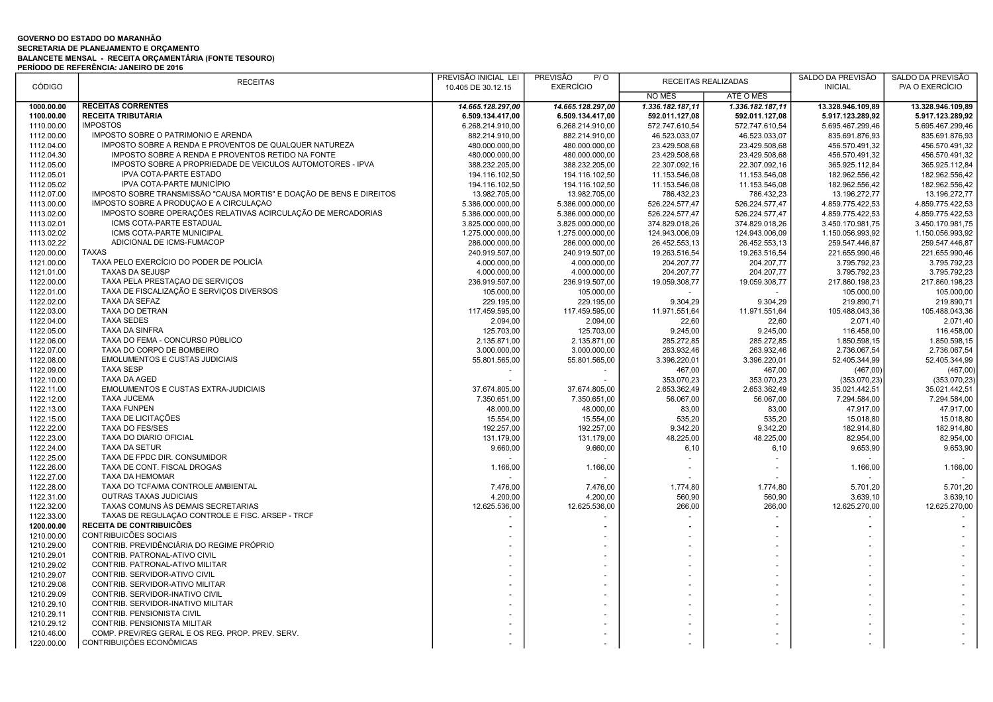## GOVERNO DO ESTADO DO MARANHÃO SECRETARIA DE PLANEJAMENTO E ORÇAMENTO BALANCETE MENSAL - RECEITA ORÇAMENTÁRIA (FONTE TESOURO) PERÍODO DE REFERÊNCIA: JANEIRO DE 2016

| <b>CÓDIGO</b>            | <b>RECEITAS</b>                                                      | PREVISÃO INICIAL LEI<br>10.405 DE 30.12.15 | <b>PREVISÃO</b><br>P/O<br>RECEITAS REALIZADAS<br><b>EXERCÍCIO</b> |                  | SALDO DA PREVISÃO<br><b>INICIAL</b> | SALDO DA PREVISÃO<br>P/A O EXERCÍCIO |                   |
|--------------------------|----------------------------------------------------------------------|--------------------------------------------|-------------------------------------------------------------------|------------------|-------------------------------------|--------------------------------------|-------------------|
|                          |                                                                      |                                            |                                                                   | NO MÊS           | ATÉ O MÊS                           |                                      |                   |
| 1000.00.00               | <b>RECEITAS CORRENTES</b>                                            | 14.665.128.297,00                          | 14.665.128.297,00                                                 | 1.336.182.187,11 | 1.336.182.187,11                    | 13.328.946.109,89                    | 13.328.946.109.89 |
| 1100.00.00               | <b>RECEITA TRIBUTÁRIA</b>                                            | 6.509.134.417,00                           | 6.509.134.417,00                                                  | 592.011.127,08   | 592.011.127,08                      | 5.917.123.289,92                     | 5.917.123.289,92  |
| 1110.00.00               | <b>IMPOSTOS</b>                                                      | 6.268.214.910,00                           | 6.268.214.910,00                                                  | 572.747.610,54   | 572.747.610,54                      | 5.695.467.299,46                     | 5.695.467.299,46  |
| 1112.00.00               | IMPOSTO SOBRE O PATRIMONIO E ARENDA                                  | 882.214.910,00                             | 882.214.910,00                                                    | 46.523.033,07    | 46.523.033,07                       | 835.691.876,93                       | 835.691.876,93    |
| 1112.04.00               | IMPOSTO SOBRE A RENDA E PROVENTOS DE QUALQUER NATUREZA               | 480.000.000,00                             | 480.000.000,00                                                    | 23.429.508,68    | 23.429.508,68                       | 456.570.491,32                       | 456.570.491,32    |
| 1112.04.30               | IMPOSTO SOBRE A RENDA E PROVENTOS RETIDO NA FONTE                    | 480.000.000,00                             | 480.000.000,00                                                    | 23.429.508,68    | 23.429.508,68                       | 456.570.491,32                       | 456.570.491,32    |
| 1112.05.00               | IMPOSTO SOBRE A PROPRIEDADE DE VEÍCULOS AUTOMOTORES - IPVA           | 388.232.205,00                             | 388.232.205,00                                                    | 22.307.092,16    | 22.307.092,16                       | 365.925.112,84                       | 365.925.112,84    |
| 1112.05.01               | <b>IPVA COTA-PARTE ESTADO</b>                                        | 194.116.102,50                             | 194.116.102,50                                                    | 11.153.546,08    | 11.153.546,08                       | 182.962.556,42                       | 182.962.556,42    |
| 1112.05.02               | IPVA COTA-PARTE MUNICÍPIO                                            | 194.116.102,50                             | 194.116.102,50                                                    | 11.153.546,08    | 11.153.546,08                       | 182.962.556,42                       | 182.962.556,42    |
| 1112.07.00               | IMPOSTO SOBRE TRANSMISSÃO "CAUSA MORTIS" E DOAÇÃO DE BENS E DIREITOS | 13.982.705,00                              | 13.982.705,00                                                     | 786.432,23       | 786.432,23                          | 13.196.272,77                        | 13.196.272,77     |
| 1113.00.00               | IMPOSTO SOBRE A PRODUÇÃO E A CIRCULAÇÃO                              | 5.386.000.000,00                           | 5.386.000.000,00                                                  | 526.224.577,47   | 526.224.577,47                      | 4.859.775.422,53                     | 4.859.775.422,53  |
| 1113.02.00               | IMPOSTO SOBRE OPERAÇÕES RELATIVAS ACIRCULAÇÃO DE MERCADORIAS         | 5.386.000.000,00                           | 5.386.000.000,00                                                  | 526.224.577,47   | 526.224.577,47                      | 4.859.775.422,53                     | 4.859.775.422,53  |
| 1113.02.01               | ICMS COTA-PARTE ESTADUAL                                             | 3.825.000.000,00                           | 3.825.000.000,00                                                  | 374.829.018,26   | 374.829.018,26                      | 3.450.170.981,75                     | 3.450.170.981,75  |
| 1113.02.02               | ICMS COTA-PARTE MUNICIPAL                                            | 1.275.000.000,00                           | 1.275.000.000,00                                                  | 124.943.006,09   | 124.943.006,09                      | 1.150.056.993,92                     | 1.150.056.993,92  |
| 1113.02.22               | ADICIONAL DE ICMS-FUMACOP                                            | 286.000.000,00                             | 286.000.000,00                                                    | 26.452.553,13    | 26.452.553,13                       | 259.547.446,87                       | 259.547.446,87    |
| 1120.00.00               | <b>TAXAS</b>                                                         | 240.919.507,00                             | 240.919.507,00                                                    | 19.263.516,54    | 19.263.516,54                       | 221.655.990,46                       | 221.655.990,46    |
| 1121.00.00               | TAXA PELO EXERCÍCIO DO PODER DE POLICÍA                              | 4.000.000,00                               | 4.000.000,00                                                      | 204.207,77       | 204.207,77                          | 3.795.792,23                         | 3.795.792,23      |
| 1121.01.00               | TAXAS DA SEJUSP                                                      | 4.000.000,00                               | 4.000.000,00                                                      | 204.207,77       | 204.207.77                          | 3.795.792,23                         | 3.795.792,23      |
| 1122.00.00               | TAXA PELA PRESTAÇÃO DE SERVIÇOS                                      | 236.919.507,00                             | 236.919.507,00                                                    | 19.059.308,77    | 19.059.308,77                       | 217.860.198,23                       | 217.860.198.23    |
| 1122.01.00               | TAXA DE FISCALIZAÇÃO E SERVIÇOS DIVERSOS                             | 105.000,00                                 | 105.000,00                                                        |                  | $\sim$                              | 105.000,00                           | 105.000,00        |
| 1122.02.00               | TAXA DA SEFAZ                                                        | 229.195,00                                 | 229.195,00                                                        | 9.304,29         | 9.304,29                            | 219.890,71                           | 219.890,71        |
| 1122.03.00               | TAXA DO DETRAN                                                       | 117.459.595,00                             | 117.459.595,00                                                    | 11.971.551,64    | 11.971.551,64                       | 105.488.043,36                       | 105.488.043,36    |
| 1122.04.00               | <b>TAXA SEDES</b>                                                    | 2.094,00                                   | 2.094,00                                                          | 22,60            | 22,60                               | 2.071,40                             | 2.071,40          |
| 1122.05.00               | <b>TAXA DA SINFRA</b>                                                | 125.703,00                                 | 125.703,00                                                        | 9.245,00         | 9.245,00                            | 116.458,00                           | 116.458,00        |
| 1122.06.00               | TAXA DO FEMA - CONCURSO PÚBLICO                                      | 2.135.871,00                               | 2.135.871,00                                                      | 285.272,85       | 285.272,85                          | 1.850.598,15                         | 1.850.598,15      |
| 1122.07.00               | TAXA DO CORPO DE BOMBEIRO                                            | 3.000.000,00                               | 3.000.000,00                                                      | 263.932,46       | 263.932,46                          | 2.736.067,54                         | 2.736.067,54      |
| 1122.08.00               | EMOLUMENTOS E CUSTAS JUDICIAIS                                       | 55.801.565,00                              | 55.801.565,00                                                     | 3.396.220,01     | 3.396.220,01                        | 52.405.344,99                        | 52.405.344,99     |
| 1122.09.00               | <b>TAXA SESP</b>                                                     |                                            |                                                                   | 467,00           | 467,00                              | (467,00)                             | (467,00)          |
| 1122.10.00               | <b>TAXA DA AGED</b>                                                  |                                            |                                                                   | 353.070,23       | 353.070,23                          | (353.070, 23)                        | (353.070, 23)     |
| 1122.11.00               | EMOLUMENTOS E CUSTAS EXTRA-JUDICIAIS                                 | 37.674.805,00                              | 37.674.805,00                                                     | 2.653.362,49     | 2.653.362,49                        | 35.021.442,51                        | 35.021.442,51     |
| 1122.12.00               | <b>TAXA JUCEMA</b>                                                   | 7.350.651,00                               | 7.350.651,00                                                      | 56.067,00        | 56.067,00                           | 7.294.584,00                         | 7.294.584,00      |
| 1122.13.00               | <b>TAXA FUNPEN</b>                                                   | 48.000,00                                  | 48.000,00                                                         | 83,00            | 83,00                               | 47.917,00                            | 47.917,00         |
| 1122.15.00               | TAXA DE LICITAÇÕES                                                   | 15.554,00                                  | 15.554,00                                                         | 535,20           | 535,20                              | 15.018,80                            | 15.018,80         |
| 1122.22.00               | <b>TAXA DO FES/SES</b>                                               | 192.257,00                                 | 192.257,00                                                        | 9.342,20         | 9.342,20                            | 182.914,80                           | 182.914,80        |
| 1122.23.00               | TAXA DO DIÁRIO OFICIAL                                               | 131.179,00                                 | 131.179,00                                                        | 48.225,00        | 48.225,00                           | 82.954.00                            | 82.954,00         |
| 1122.24.00               | <b>TAXA DA SETUR</b>                                                 | 9.660,00                                   | 9.660,00                                                          | 6, 10            | 6, 10                               | 9.653,90                             | 9.653,90          |
| 1122.25.00               | TAXA DE FPDC DIR. CONSUMIDOR                                         |                                            |                                                                   |                  |                                     |                                      |                   |
| 1122.26.00               | TAXA DE CONT. FISCAL DROGAS                                          | 1.166,00                                   | 1.166,00                                                          |                  |                                     | 1.166,00                             | 1.166,00          |
| 1122.27.00               | <b>TAXA DA HEMOMAR</b>                                               |                                            |                                                                   |                  |                                     |                                      |                   |
| 1122.28.00               | TAXA DO TCFA/MA CONTROLE AMBIENTAL                                   | 7.476,00                                   | 7.476,00                                                          | 1.774,80         | 1.774,80                            | 5.701,20                             | 5.701,20          |
| 1122.31.00               | <b>OUTRAS TAXAS JUDICIAIS</b>                                        | 4.200,00                                   | 4.200,00                                                          | 560,90           | 560,90                              | 3.639,10                             | 3.639,10          |
| 1122.32.00               | TAXAS COMUNS ÀS DEMAIS SECRETARIAS                                   | 12.625.536,00                              | 12.625.536,00                                                     | 266,00           | 266,00                              | 12.625.270,00                        | 12.625.270,00     |
| 1122.33.00               | TAXAS DE REGULAÇÃO CONTROLE E FISC. ARSEP - TRCF                     |                                            |                                                                   |                  | $\overline{a}$                      |                                      |                   |
| 1200.00.00               | RECEITA DE CONTRIBUICÕES<br>CONTRIBUICÕES SOCIAIS                    |                                            |                                                                   | $\blacksquare$   |                                     |                                      |                   |
| 1210.00.00               | CONTRIB. PREVIDÊNCIÁRIA DO REGIME PRÓPRIO                            |                                            |                                                                   |                  |                                     |                                      |                   |
| 1210.29.00               | CONTRIB. PATRONAL-ATIVO CIVIL                                        |                                            |                                                                   |                  |                                     |                                      |                   |
| 1210.29.01<br>1210.29.02 | CONTRIB. PATRONAL-ATIVO MILITAR                                      |                                            |                                                                   |                  |                                     |                                      |                   |
|                          | CONTRIB. SERVIDOR-ATIVO CIVIL                                        |                                            |                                                                   |                  |                                     |                                      |                   |
| 1210.29.07               | CONTRIB. SERVIDOR-ATIVO MILITAR                                      |                                            |                                                                   |                  |                                     |                                      |                   |
| 1210.29.08<br>1210.29.09 | CONTRIB. SERVIDOR-INATIVO CIVIL                                      |                                            |                                                                   |                  |                                     |                                      |                   |
| 1210.29.10               | CONTRIB. SERVIDOR-INATIVO MILITAR                                    |                                            |                                                                   |                  |                                     |                                      |                   |
|                          | CONTRIB. PENSIONISTA CIVIL                                           |                                            |                                                                   |                  |                                     |                                      |                   |
| 1210.29.11               | CONTRIB. PENSIONISTA MILITAR                                         |                                            |                                                                   |                  |                                     |                                      |                   |
| 1210.29.12<br>1210.46.00 | COMP. PREV/REG GERAL E OS REG. PROP. PREV. SERV.                     |                                            |                                                                   |                  |                                     |                                      |                   |
|                          | CONTRIBUIÇÕES ECONÔMICAS                                             |                                            |                                                                   |                  |                                     |                                      |                   |
| 1220.00.00               |                                                                      |                                            | $\sim$                                                            | ٠                |                                     |                                      |                   |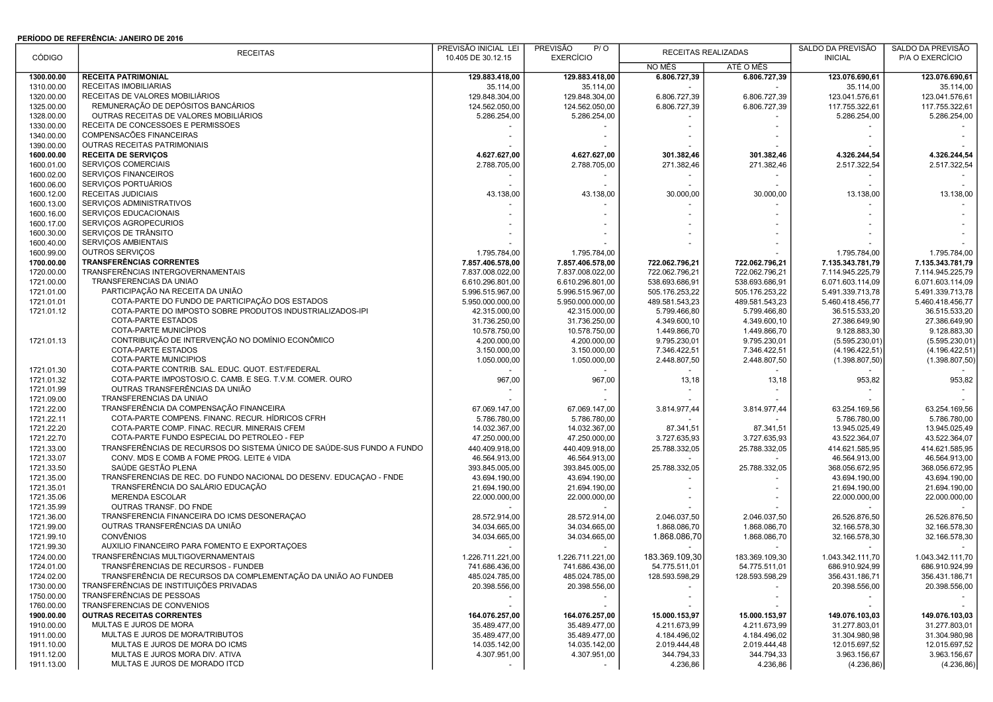## PERÍODO DE REFERÊNCIA: JANEIRO DE 2016

|                          | <b>RECEITAS</b>                                                        | PREVISÃO INICIAL LEI           | PREVISÃO<br>P/O               |                           | RECEITAS REALIZADAS       | SALDO DA PREVISÃO              | SALDO DA PREVISÃO             |
|--------------------------|------------------------------------------------------------------------|--------------------------------|-------------------------------|---------------------------|---------------------------|--------------------------------|-------------------------------|
| CÓDIGO                   |                                                                        | 10.405 DE 30.12.15             | <b>EXERCÍCIO</b>              | NO MÊS                    | ATÉ O MÊS                 | <b>INICIAL</b>                 | P/A O EXERCÍCIO               |
| 1300.00.00               | <b>RECEITA PATRIMONIAL</b>                                             | 129.883.418.00                 | 129.883.418,00                | 6.806.727,39              | 6.806.727,39              | 123.076.690,61                 | 123.076.690,61                |
| 1310.00.00               | RECEITAS IMOBILIÁRIAS                                                  | 35.114,00                      | 35.114,00                     |                           |                           | 35.114.00                      | 35.114,00                     |
| 1320.00.00               | RECEITAS DE VALORES MOBILIÁRIOS                                        | 129.848.304,00                 | 129.848.304,00                | 6.806.727,39              | 6.806.727,39              | 123.041.576,61                 | 123.041.576,61                |
| 1325.00.00               | REMUNERAÇÃO DE DEPÓSITOS BANCÁRIOS                                     | 124.562.050,00                 | 124.562.050,00                | 6.806.727,39              | 6.806.727,39              | 117.755.322,61                 | 117.755.322,61                |
| 1328.00.00               | OUTRAS RECEITAS DE VALORES MOBILIÁRIOS                                 | 5.286.254,00                   | 5.286.254,00                  |                           |                           | 5.286.254,00                   | 5.286.254,00                  |
| 1330.00.00               | RECEITA DE CONCESSÕES E PERMISSÕES                                     |                                |                               |                           |                           |                                |                               |
| 1340.00.00               | COMPENSACÕES FINANCEIRAS                                               |                                |                               |                           |                           |                                |                               |
| 1390.00.00               | OUTRAS RECEITAS PATRIMONIAIS                                           |                                |                               |                           |                           |                                |                               |
| 1600.00.00               | <b>RECEITA DE SERVIÇOS</b>                                             | 4.627.627,00                   | 4.627.627,00                  | 301.382,46                | 301.382,46                | 4.326.244,54                   | 4.326.244,54                  |
| 1600.01.00               | SERVIÇOS COMERCIAIS                                                    | 2.788.705,00                   | 2.788.705,00                  | 271.382,46                | 271.382,46                | 2.517.322,54                   | 2.517.322,54                  |
| 1600.02.00               | SERVIÇOS FINANCEIROS                                                   |                                |                               |                           |                           |                                |                               |
| 1600.06.00               | SERVICOS PORTUÁRIOS                                                    |                                |                               |                           |                           |                                |                               |
| 1600.12.00               | RECEITAS JUDICIAIS                                                     | 43.138,00                      | 43.138,00                     | 30.000,00                 | 30.000,00                 | 13.138,00                      | 13.138,00                     |
| 1600.13.00               | SERVICOS ADMINISTRATIVOS                                               |                                |                               |                           |                           |                                |                               |
| 1600.16.00               | SERVIÇOS EDUCACIONAIS                                                  |                                |                               |                           |                           |                                |                               |
| 1600.17.00               | SERVIÇOS AGROPECURIOS                                                  |                                |                               |                           |                           |                                |                               |
| 1600.30.00               | SERVIÇOS DE TRÂNSITO                                                   |                                |                               |                           |                           |                                |                               |
| 1600.40.00               | SERVIÇOS AMBIENTAIS                                                    |                                |                               |                           |                           |                                |                               |
| 1600.99.00               | OUTROS SERVIÇOS                                                        | 1.795.784,00                   | 1.795.784,00                  |                           |                           | 1.795.784,00                   | 1.795.784,00                  |
| 1700.00.00               | <b>TRANSFERÊNCIAS CORRENTES</b>                                        | 7.857.406.578,00               | 7.857.406.578,00              | 722.062.796,21            | 722.062.796,21            | 7.135.343.781,79               | 7.135.343.781,79              |
| 1720.00.00               | TRANSFERÊNCIAS INTERGOVERNAMENTAIS                                     | 7.837.008.022,00               | 7.837.008.022,00              | 722.062.796,21            | 722.062.796,21            | 7.114.945.225,79               | 7.114.945.225,79              |
| 1721.00.00               | TRANSFERÊNCIAS DA UNIÃO                                                | 6.610.296.801,00               | 6.610.296.801,00              | 538.693.686,91            | 538.693.686,91            | 6.071.603.114,09               | 6.071.603.114,09              |
| 1721.01.00               | PARTICIPAÇÃO NA RECEITA DA UNIÃO                                       | 5.996.515.967,00               | 5.996.515.967,00              | 505.176.253,22            | 505.176.253,22            | 5.491.339.713,78               | 5.491.339.713,78              |
| 1721.01.01               | COTA-PARTE DO FUNDO DE PARTICIPAÇÃO DOS ESTADOS                        | 5.950.000.000,00               | 5.950.000.000,00              | 489.581.543,23            | 489.581.543,23            | 5.460.418.456,77               | 5.460.418.456,77              |
| 1721.01.12               | COTA-PARTE DO IMPOSTO SOBRE PRODUTOS INDUSTRIALIZADOS-IPI              | 42.315.000,00                  | 42.315.000,00                 | 5.799.466,80              | 5.799.466,80              | 36.515.533,20                  | 36.515.533,20                 |
|                          | COTA-PARTE ESTADOS                                                     | 31.736.250,00                  | 31.736.250,00                 | 4.349.600,10              | 4.349.600,10              | 27.386.649,90                  | 27.386.649,90                 |
|                          | COTA-PARTE MUNICÍPIOS                                                  | 10.578.750,00                  | 10.578.750,00                 | 1.449.866,70              | 1.449.866,70              | 9.128.883,30                   | 9.128.883,30                  |
| 1721.01.13               | CONTRIBUIÇÃO DE INTERVENÇÃO NO DOMÍNIO ECONÔMICO                       | 4.200.000,00                   | 4.200.000,00                  | 9.795.230,01              | 9.795.230,01              | (5.595.230.01)                 | (5.595.230,01)                |
|                          | COTA-PARTE ESTADOS                                                     | 3.150.000,00                   | 3.150.000,00                  | 7.346.422.51              | 7.346.422,51              | (4.196.422, 51)                | (4.196.422, 51)               |
|                          | COTA-PARTE MUNICÍPIOS                                                  | 1.050.000,00                   | 1.050.000,00                  | 2.448.807,50              | 2.448.807,50              | (1.398.807, 50)                | (1.398.807,50)                |
| 1721.01.30               | COTA-PARTE CONTRIB. SAL. EDUC. QUOT. EST/FEDERAL                       |                                |                               |                           |                           |                                |                               |
| 1721.01.32               | COTA-PARTE IMPOSTOS/O.C. CAMB. E SEG. T.V.M. COMER. OURO               | 967,00                         | 967,00                        | 13,18                     | 13,18                     | 953,82                         | 953,82                        |
| 1721.01.99               | OUTRAS TRANSFERÊNCIAS DA UNIÃO<br>TRANSFERÊNCIAS DA UNIÃO              |                                |                               |                           |                           |                                |                               |
| 1721.09.00               | TRANSFERÊNCIA DA COMPENSAÇÃO FINANCEIRA                                |                                |                               |                           |                           |                                |                               |
| 1721.22.00               | COTA-PARTE COMPENS. FINANC. RECUR. HÍDRICOS CFRH                       | 67.069.147,00                  | 67.069.147,00                 | 3.814.977,44              | 3.814.977,44              | 63.254.169,56                  | 63.254.169,56                 |
| 1721.22.11<br>1721.22.20 | COTA-PARTE COMP. FINAC. RECUR. MINERAIS CFEM                           | 5.786.780,00                   | 5.786.780,00<br>14.032.367,00 |                           |                           | 5.786.780,00                   | 5.786.780,00<br>13.945.025,49 |
| 1721.22.70               | COTA-PARTE FUNDO ESPECIAL DO PETRÓLEO - FEP                            | 14.032.367,00<br>47.250.000,00 | 47.250.000,00                 | 87.341,51<br>3.727.635,93 | 87.341,51<br>3.727.635,93 | 13.945.025,49<br>43.522.364,07 | 43.522.364,07                 |
| 1721.33.00               | TRANSFERÊNCIAS DE RECURSOS DO SISTEMA ÚNICO DE SAÚDE-SUS FUNDO A FUNDO | 440.409.918,00                 | 440.409.918,00                | 25.788.332,05             | 25.788.332,05             | 414.621.585,95                 | 414.621.585,95                |
| 1721.33.07               | CONV. MDS E COMB A FOME PROG. LEITE é VIDA                             | 46.564.913,00                  | 46.564.913,00                 |                           |                           | 46.564.913,00                  | 46.564.913,00                 |
| 1721.33.50               | SAÚDE GESTÃO PLENA                                                     | 393.845.005,00                 | 393.845.005,00                | 25.788.332,05             | 25.788.332,05             | 368.056.672,95                 | 368.056.672,95                |
| 1721.35.00               | TRANSFERÊNCIAS DE REC. DO FUNDO NACIONAL DO DESENV. EDUCAÇÃO - FNDE    | 43.694.190,00                  | 43.694.190,00                 |                           |                           | 43.694.190,00                  | 43.694.190,00                 |
| 1721.35.01               | TRANSFERÊNCIA DO SALÁRIO EDUCAÇÃO                                      | 21.694.190,00                  | 21.694.190,00                 |                           |                           | 21.694.190,00                  | 21.694.190,00                 |
| 1721.35.06               | <b>MERENDA ESCOLAR</b>                                                 | 22.000.000,00                  | 22.000.000,00                 |                           |                           | 22.000.000,00                  | 22.000.000,00                 |
| 1721.35.99               | OUTRAS TRANSF. DO FNDE                                                 |                                |                               |                           |                           |                                |                               |
| 1721.36.00               | TRANSFERÊNCIA FINANCEIRA DO ICMS DESONERAÇÃO                           | 28.572.914,00                  | 28.572.914,00                 | 2.046.037,50              | 2.046.037,50              | 26.526.876,50                  | 26.526.876.50                 |
| 1721.99.00               | OUTRAS TRANSFERÊNCIAS DA UNIÃO                                         | 34.034.665.00                  | 34.034.665,00                 | 1.868.086,70              | 1.868.086,70              | 32.166.578,30                  | 32.166.578,30                 |
| 1721.99.10               | <b>CONVÊNIOS</b>                                                       | 34.034.665,00                  | 34.034.665,00                 | 1.868.086,70              | 1.868.086,70              | 32.166.578,30                  | 32.166.578,30                 |
| 1721.99.30               | AUXILIO FINANCEIRO PARA FOMENTO E EXPORTAÇÕES                          |                                |                               |                           |                           |                                |                               |
| 1724.00.00               | TRANSFERÊNCIAS MULTIGOVERNAMENTAIS                                     | 1.226.711.221,00               | 1.226.711.221,00              | 183.369.109,30            | 183.369.109,30            | 1.043.342.111,70               | 1.043.342.111,70              |
| 1724.01.00               | TRANSFÊRENCIAS DE RECURSOS - FUNDEB                                    | 741.686.436,00                 | 741.686.436,00                | 54.775.511,01             | 54.775.511.01             | 686.910.924,99                 | 686.910.924,99                |
| 1724.02.00               | TRANSFERÊNCIA DE RECURSOS DA COMPLEMENTAÇÃO DA UNIÃO AO FUNDEB         | 485.024.785,00                 | 485.024.785,00                | 128.593.598,29            | 128.593.598,29            | 356.431.186,71                 | 356.431.186,71                |
| 1730.00.00               | TRANSFERÊNCIAS DE INSTITUIÇÕES PRIVADAS                                | 20.398.556,00                  | 20.398.556,00                 |                           |                           | 20.398.556,00                  | 20.398.556,00                 |
| 1750.00.00               | TRANSFERÊNCIAS DE PESSOAS                                              |                                |                               |                           |                           |                                |                               |
| 1760.00.00               | TRANSFERENCIAS DE CONVENIOS                                            |                                |                               |                           |                           |                                |                               |
| 1900.00.00               | <b>OUTRAS RECEITAS CORRENTES</b>                                       | 164.076.257,00                 | 164.076.257,00                | 15.000.153,97             | 15.000.153,97             | 149.076.103,03                 | 149.076.103,03                |
| 1910.00.00               | MULTAS E JUROS DE MORA                                                 | 35.489.477,00                  | 35.489.477,00                 | 4.211.673,99              | 4.211.673,99              | 31.277.803,01                  | 31.277.803,01                 |
| 1911.00.00               | MULTAS E JUROS DE MORA/TRIBUTOS                                        | 35.489.477,00                  | 35.489.477,00                 | 4.184.496,02              | 4.184.496,02              | 31.304.980,98                  | 31.304.980,98                 |
| 1911.10.00               | MULTAS E JUROS DE MORA DO ICMS                                         | 14.035.142,00                  | 14.035.142,00                 | 2.019.444,48              | 2.019.444,48              | 12.015.697,52                  | 12.015.697,52                 |
| 1911.12.00               | MULTAS E JUROS MORA DIV. ATIVA                                         | 4.307.951,00                   | 4.307.951,00                  | 344.794,33                | 344.794,33                | 3.963.156,67                   | 3.963.156,67                  |
| 1911.13.00               | MULTAS E JUROS DE MORADO ITCD                                          |                                |                               | 4.236,86                  | 4.236,86                  | (4.236, 86)                    | (4.236, 86)                   |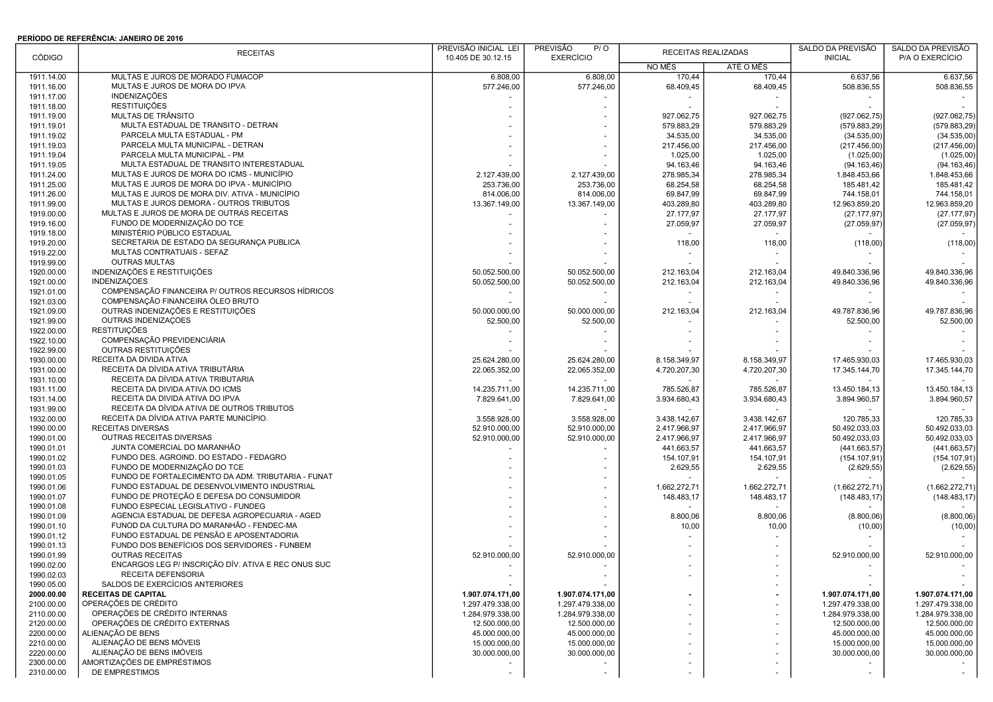## PERÍODO DE REFERÊNCIA: JANEIRO DE 2016

|                          | <b>RECEITAS</b>                                               | PREVISÃO INICIAL LEI          | <b>PREVISÃO</b><br>P/O |              | RECEITAS REALIZADAS        | SALDO DA PREVISÃO | SALDO DA PREVISÃO             |
|--------------------------|---------------------------------------------------------------|-------------------------------|------------------------|--------------|----------------------------|-------------------|-------------------------------|
| <b>CÓDIGO</b>            |                                                               | 10.405 DE 30.12.15            | <b>EXERCÍCIO</b>       | NO MÊS       | ATÉ O MÊS                  | <b>INICIAL</b>    | P/A O EXERCÍCIO               |
| 1911.14.00               | MULTAS E JUROS DE MORADO FUMACOP                              | 6.808,00                      | 6.808,00               | 170,44       | 170,44                     | 6.637,56          | 6.637,56                      |
| 1911.16.00               | MULTAS E JUROS DE MORA DO IPVA                                | 577.246.00                    | 577.246,00             | 68.409,45    | 68.409,45                  | 508.836.55        | 508.836,55                    |
| 1911.17.00               | INDENIZAÇÕES                                                  |                               |                        |              |                            |                   |                               |
| 1911.18.00               | <b>RESTITUIÇÕES</b>                                           |                               |                        |              |                            |                   |                               |
| 1911.19.00               | MULTAS DE TRÂNSITO                                            |                               |                        | 927.062,75   | 927.062,75                 | (927.062,75)      | (927.062,75)                  |
| 1911.19.01               | MULTA ESTADUAL DE TRÂNSITO - DETRAN                           |                               |                        | 579.883.29   | 579.883,29                 | (579.883,29)      | (579.883,29)                  |
| 1911.19.02               | PARCELA MULTA ESTADUAL - PM                                   |                               |                        | 34.535,00    | 34.535,00                  | (34.535,00)       | (34.535,00)                   |
| 1911.19.03               | PARCELA MULTA MUNICIPAL - DETRAN                              |                               |                        | 217.456,00   | 217.456,00                 | (217.456,00)      | (217.456,00)                  |
| 1911.19.04               | PARCELA MULTA MUNICIPAL - PM                                  |                               |                        | 1.025,00     | 1.025,00                   | (1.025,00)        | (1.025,00)                    |
| 1911.19.05               | MULTA ESTADUAL DE TRÂNSITO INTERESTADUAL                      |                               |                        | 94.163,46    | 94.163,46                  | (94.163, 46)      | (94.163, 46)                  |
| 1911.24.00               | MULTAS E JUROS DE MORA DO ICMS - MUNICÍPIO                    | 2.127.439,00                  | 2.127.439,00           | 278.985,34   | 278.985,34                 | 1.848.453,66      | 1.848.453.66                  |
| 1911.25.00               | MULTAS E JUROS DE MORA DO IPVA - MUNICÍPIO                    | 253.736,00                    | 253.736,00             | 68.254,58    | 68.254,58                  | 185.481,42        | 185.481,42                    |
| 1911.26.00               | MULTAS E JUROS DE MORA DIV. ATIVA - MUNICÍPIO                 | 814.006,00                    | 814.006,00             | 69.847,99    | 69.847,99                  | 744.158,01        | 744.158,01                    |
| 1911.99.00               | MULTAS E JUROS DEMORA - OUTROS TRIBUTOS                       | 13.367.149,00                 | 13.367.149,00          | 403.289,80   | 403.289,80                 | 12.963.859,20     | 12.963.859,20                 |
| 1919.00.00               | MULTAS E JUROS DE MORA DE OUTRAS RECEITAS                     |                               |                        | 27.177,97    | 27.177,97                  | (27.177, 97)      | (27.177, 97)                  |
| 1919.16.00               | FUNDO DE MODERNIZAÇÃO DO TCE                                  |                               |                        | 27.059,97    | 27.059,97                  | (27.059, 97)      | (27.059, 97)                  |
| 1919.18.00               | MINISTÉRIO PÚBLICO ESTADUAL                                   |                               |                        |              |                            |                   |                               |
| 1919.20.00               | SECRETARIA DE ESTADO DA SEGURANÇA PÚBLICA                     |                               |                        | 118,00       | 118,00                     | (118,00)          | (118,00)                      |
| 1919.22.00               | MULTAS CONTRATUAIS - SEFAZ                                    |                               |                        |              |                            |                   |                               |
| 1919.99.00               | <b>OUTRAS MULTAS</b>                                          |                               |                        |              |                            |                   |                               |
| 1920.00.00               | INDENIZAÇÕES E RESTITUIÇÕES                                   | 50.052.500,00                 | 50.052.500,00          | 212.163,04   | 212.163,04                 | 49.840.336,96     | 49.840.336,96                 |
| 1921.00.00               | <b>INDENIZAÇÕES</b>                                           | 50.052.500,00                 | 50.052.500,00          | 212.163,04   | 212.163,04                 | 49.840.336,96     | 49.840.336,96                 |
| 1921.01.00               | COMPENSAÇÃO FINANCEIRA P/ OUTROS RECURSOS HÍDRICOS            |                               |                        |              |                            |                   |                               |
| 1921.03.00               | COMPENSAÇÃO FINANCEIRA ÓLEO BRUTO                             |                               |                        |              |                            |                   |                               |
| 1921.09.00               | OUTRAS INDENIZAÇÕES E RESTITUIÇÕES                            | 50.000.000,00                 | 50.000.000.00          | 212.163,04   | 212.163,04                 | 49.787.836,96     | 49.787.836,96                 |
| 1921.99.00               | OUTRAS INDENIZAÇÕES                                           | 52.500,00                     | 52.500,00              |              |                            | 52.500,00         | 52.500,00                     |
| 1922.00.00               | <b>RESTITUIÇÕES</b>                                           |                               |                        |              |                            |                   |                               |
| 1922.10.00               | COMPENSAÇÃO PREVIDENCIÁRIA                                    |                               |                        |              |                            |                   |                               |
| 1922.99.00               | OUTRAS RESTITUIÇÕES                                           |                               |                        |              |                            |                   |                               |
| 1930.00.00               | RECEITA DA DÍVIDA ATIVA<br>RECEITA DA DÍVIDA ATIVA TRIBUTÁRIA | 25.624.280,00                 | 25.624.280,00          | 8.158.349,97 | 8.158.349,97               | 17.465.930,03     | 17.465.930,03                 |
| 1931.00.00               | RECEITA DA DÍVIDA ATIVA TRIBUTARIA                            | 22.065.352,00                 | 22.065.352,00          | 4.720.207,30 | 4.720.207,30               | 17.345.144,70     | 17.345.144,70                 |
| 1931.10.00               | RECEITA DA DIVIDA ATIVA DO ICMS                               |                               |                        |              |                            |                   |                               |
| 1931.11.00<br>1931.14.00 | RECEITA DA DÍVIDA ATIVA DO IPVA                               | 14.235.711,00<br>7.829.641,00 | 14.235.711,00          | 785.526,87   | 785.526,87<br>3.934.680,43 | 13.450.184,13     | 13.450.184,13<br>3.894.960,57 |
| 1931.99.00               | RECEITA DA DÍVIDA ATIVA DE OUTROS TRIBUTOS                    |                               | 7.829.641,00           | 3.934.680,43 |                            | 3.894.960,57      |                               |
| 1932.00.00               | RECEITA DA DÍVIDA ATIVA PARTE MUNICÍPIO.                      | 3.558.928,00                  | 3.558.928,00           | 3.438.142,67 | 3.438.142,67               | 120.785,33        | 120.785,33                    |
| 1990.00.00               | <b>RECEITAS DIVERSAS</b>                                      | 52.910.000,00                 | 52.910.000,00          | 2.417.966,97 | 2.417.966,97               | 50.492.033,03     | 50.492.033,03                 |
| 1990.01.00               | OUTRAS RECEITAS DIVERSAS                                      | 52.910.000,00                 | 52.910.000,00          | 2.417.966,97 | 2.417.966,97               | 50.492.033,03     | 50.492.033,03                 |
| 1990.01.01               | JUNTA COMERCIAL DO MARANHÃO                                   |                               |                        | 441.663,57   | 441.663,57                 | (441.663,57)      | (441.663,57)                  |
| 1990.01.02               | FUNDO DES. AGROIND. DO ESTADO - FEDAGRO                       |                               |                        | 154.107,91   | 154.107,91                 | (154.107, 91)     | (154.107, 91)                 |
| 1990.01.03               | FUNDO DE MODERNIZAÇÃO DO TCE                                  |                               |                        | 2.629,55     | 2.629,55                   | (2.629, 55)       | (2.629, 55)                   |
| 1990.01.05               | FUNDO DE FORTALECIMENTO DA ADM. TRIBUTÁRIA - FUNAT            |                               |                        |              |                            |                   |                               |
| 1990.01.06               | FUNDO ESTADUAL DE DESENVOLVIMENTO INDUSTRIAL                  |                               |                        | 1.662.272,71 | 1.662.272,71               | (1.662.272, 71)   | (1.662.272,71)                |
| 1990.01.07               | FUNDO DE PROTEÇÃO E DEFESA DO CONSUMIDOR                      |                               |                        | 148.483,17   | 148.483,17                 | (148.483, 17)     | (148.483, 17)                 |
| 1990.01.08               | FUNDO ESPECIAL LEGISLATIVO - FUNDEG                           |                               |                        |              |                            |                   |                               |
| 1990.01.09               | AGÊNCIA ESTADUAL DE DEFESA AGROPECUÁRIA - AGED                |                               |                        | 8.800,06     | 8.800,06                   | (8.800,06)        | (8.800, 06)                   |
| 1990.01.10               | FUNOD DA CULTURA DO MARANHÃO - FENDEC-MA                      |                               |                        | 10,00        | 10,00                      | (10,00)           | (10,00)                       |
| 1990.01.12               | FUNDO ESTADUAL DE PENSÃO E APOSENTADORIA                      |                               |                        |              |                            |                   |                               |
| 1990.01.13               | FUNDO DOS BENEFÍCIOS DOS SERVIDORES - FUNBEM                  |                               |                        |              |                            |                   |                               |
| 1990.01.99               | <b>OUTRAS RECEITAS</b>                                        | 52.910.000,00                 | 52.910.000,00          |              |                            | 52.910.000,00     | 52.910.000,00                 |
| 1990.02.00               | ENCARGOS LEG P/ INSCRIÇÃO DÍV. ATIVA E REC ONUS SUC           |                               |                        |              |                            |                   |                               |
| 1990.02.03               | RECEITA DEFENSORIA                                            |                               |                        |              |                            |                   |                               |
| 1990.05.00               | SALDOS DE EXERCÍCIOS ANTERIORES                               |                               |                        |              |                            |                   |                               |
| 2000.00.00               | <b>RECEITAS DE CAPITAL</b>                                    | 1.907.074.171,00              | 1.907.074.171,00       |              |                            | 1.907.074.171,00  | 1.907.074.171,00              |
| 2100.00.00               | OPERAÇÕES DE CRÉDITO                                          | 1.297.479.338,00              | 1.297.479.338.00       |              |                            | 1.297.479.338,00  | 1.297.479.338,00              |
| 2110.00.00               | OPERAÇÕES DE CRÉDITO INTERNAS                                 | 1.284.979.338,00              | 1.284.979.338,00       |              |                            | 1.284.979.338,00  | 1.284.979.338,00              |
| 2120.00.00               | OPERAÇÕES DE CRÉDITO EXTERNAS                                 | 12.500.000,00                 | 12.500.000,00          |              |                            | 12.500.000,00     | 12.500.000,00                 |
| 2200.00.00               | ALIENAÇÃO DE BENS                                             | 45.000.000,00                 | 45.000.000,00          |              |                            | 45.000.000,00     | 45.000.000,00                 |
| 2210.00.00               | ALIENAÇÃO DE BENS MÓVEIS                                      | 15.000.000,00                 | 15.000.000,00          |              |                            | 15.000.000,00     | 15.000.000,00                 |
| 2220.00.00               | ALIENAÇÃO DE BENS IMÓVEIS                                     | 30.000.000,00                 | 30.000.000,00          |              |                            | 30.000.000,00     | 30.000.000,00                 |
| 2300.00.00               | AMORTIZAÇÕES DE EMPRÉSTIMOS                                   | $\sim$                        |                        |              |                            |                   |                               |
| 2310.00.00               | DE EMPRESTIMOS                                                | $\sim$                        |                        |              |                            |                   |                               |